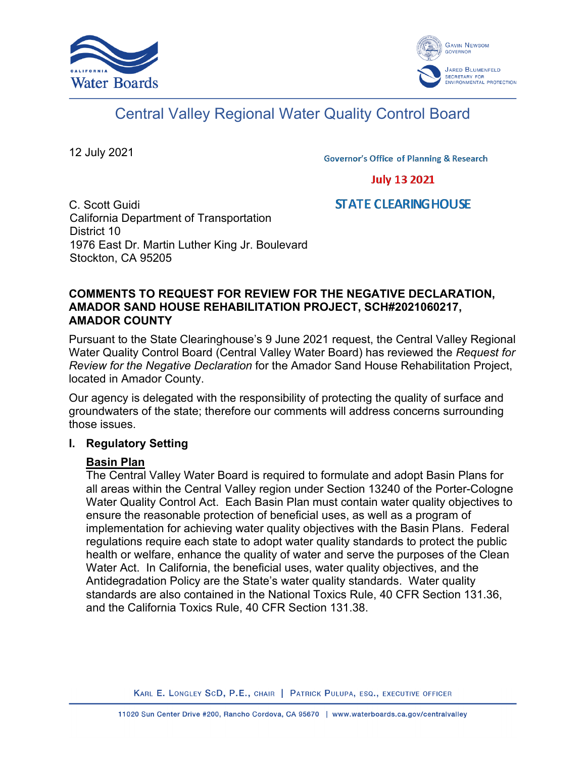



# Central Valley Regional Water Quality Control Board

12 July 2021

**Governor's Office of Planning & Research** 

# **July 13 2021**

# **STATE CLEARING HOUSE**

C. Scott Guidi California Department of Transportation District 10 1976 East Dr. Martin Luther King Jr. Boulevard Stockton, CA 95205

# **COMMENTS TO REQUEST FOR REVIEW FOR THE NEGATIVE DECLARATION, AMADOR SAND HOUSE REHABILITATION PROJECT, SCH#2021060217, AMADOR COUNTY**

Pursuant to the State Clearinghouse's 9 June 2021 request, the Central Valley Regional Water Quality Control Board (Central Valley Water Board) has reviewed the *Request for Review for the Negative Declaration* for the Amador Sand House Rehabilitation Project, located in Amador County.

Our agency is delegated with the responsibility of protecting the quality of surface and groundwaters of the state; therefore our comments will address concerns surrounding those issues.

# **I. Regulatory Setting**

# **Basin Plan**

The Central Valley Water Board is required to formulate and adopt Basin Plans for all areas within the Central Valley region under Section 13240 of the Porter-Cologne Water Quality Control Act. Each Basin Plan must contain water quality objectives to ensure the reasonable protection of beneficial uses, as well as a program of implementation for achieving water quality objectives with the Basin Plans. Federal regulations require each state to adopt water quality standards to protect the public health or welfare, enhance the quality of water and serve the purposes of the Clean Water Act. In California, the beneficial uses, water quality objectives, and the Antidegradation Policy are the State's water quality standards. Water quality standards are also contained in the National Toxics Rule, 40 CFR Section 131.36, and the California Toxics Rule, 40 CFR Section 131.38.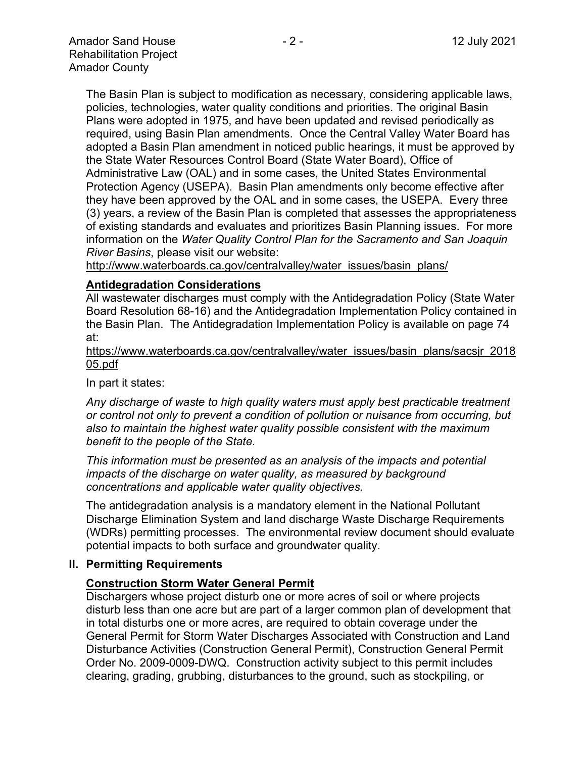The Basin Plan is subject to modification as necessary, considering applicable laws, policies, technologies, water quality conditions and priorities. The original Basin Plans were adopted in 1975, and have been updated and revised periodically as required, using Basin Plan amendments. Once the Central Valley Water Board has adopted a Basin Plan amendment in noticed public hearings, it must be approved by the State Water Resources Control Board (State Water Board), Office of Administrative Law (OAL) and in some cases, the United States Environmental Protection Agency (USEPA). Basin Plan amendments only become effective after they have been approved by the OAL and in some cases, the USEPA. Every three (3) years, a review of the Basin Plan is completed that assesses the appropriateness of existing standards and evaluates and prioritizes Basin Planning issues. For more information on the *Water Quality Control Plan for the Sacramento and San Joaquin River Basins*, please visit our website:

[http://www.waterboards.ca.gov/centralvalley/water\\_issues/basin\\_plans/](http://www.waterboards.ca.gov/centralvalley/water_issues/basin_plans/)

#### **Antidegradation Considerations**

All wastewater discharges must comply with the Antidegradation Policy (State Water Board Resolution 68-16) and the Antidegradation Implementation Policy contained in the Basin Plan. The Antidegradation Implementation Policy is available on page 74 at:

https://www.waterboards.ca.gov/centralvalley/water\_issues/basin\_plans/sacsjr\_2018 05.pdf

In part it states:

*Any discharge of waste to high quality waters must apply best practicable treatment or control not only to prevent a condition of pollution or nuisance from occurring, but also to maintain the highest water quality possible consistent with the maximum benefit to the people of the State.*

*This information must be presented as an analysis of the impacts and potential impacts of the discharge on water quality, as measured by background concentrations and applicable water quality objectives.*

The antidegradation analysis is a mandatory element in the National Pollutant Discharge Elimination System and land discharge Waste Discharge Requirements (WDRs) permitting processes. The environmental review document should evaluate potential impacts to both surface and groundwater quality.

# **II. Permitting Requirements**

# **Construction Storm Water General Permit**

Dischargers whose project disturb one or more acres of soil or where projects disturb less than one acre but are part of a larger common plan of development that in total disturbs one or more acres, are required to obtain coverage under the General Permit for Storm Water Discharges Associated with Construction and Land Disturbance Activities (Construction General Permit), Construction General Permit Order No. 2009-0009-DWQ. Construction activity subject to this permit includes clearing, grading, grubbing, disturbances to the ground, such as stockpiling, or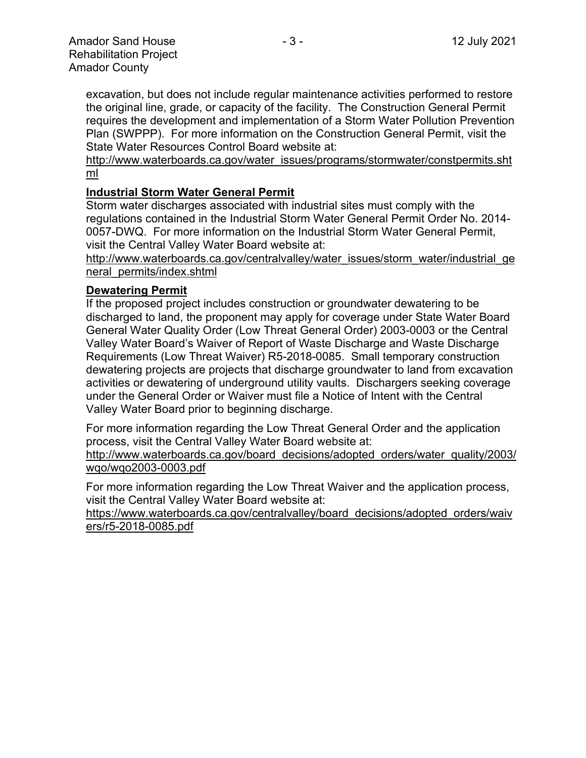excavation, but does not include regular maintenance activities performed to restore the original line, grade, or capacity of the facility. The Construction General Permit requires the development and implementation of a Storm Water Pollution Prevention Plan (SWPPP). For more information on the Construction General Permit, visit the State Water Resources Control Board website at:

[http://www.waterboards.ca.gov/water\\_issues/programs/stormwater/constpermits.sht](http://www.waterboards.ca.gov/water_issues/programs/stormwater/constpermits.shtml) [ml](http://www.waterboards.ca.gov/water_issues/programs/stormwater/constpermits.shtml)

# **Industrial Storm Water General Permit**

Storm water discharges associated with industrial sites must comply with the regulations contained in the Industrial Storm Water General Permit Order No. 2014- 0057-DWQ. For more information on the Industrial Storm Water General Permit, visit the Central Valley Water Board website at:

http://www.waterboards.ca.gov/centralvalley/water\_issues/storm\_water/industrial\_ge neral\_permits/index.shtml

# **Dewatering Permit**

If the proposed project includes construction or groundwater dewatering to be discharged to land, the proponent may apply for coverage under State Water Board General Water Quality Order (Low Threat General Order) 2003-0003 or the Central Valley Water Board's Waiver of Report of Waste Discharge and Waste Discharge Requirements (Low Threat Waiver) R5-2018-0085. Small temporary construction dewatering projects are projects that discharge groundwater to land from excavation activities or dewatering of underground utility vaults. Dischargers seeking coverage under the General Order or Waiver must file a Notice of Intent with the Central Valley Water Board prior to beginning discharge.

For more information regarding the Low Threat General Order and the application process, visit the Central Valley Water Board website at:

http://www.waterboards.ca.gov/board decisions/adopted orders/water quality/2003/ wqo/wqo2003-0003.pdf

For more information regarding the Low Threat Waiver and the application process, visit the Central Valley Water Board website at:

https://www.waterboards.ca.gov/centralvalley/board\_decisions/adopted\_orders/waiv ers/r5-2018-0085.pdf